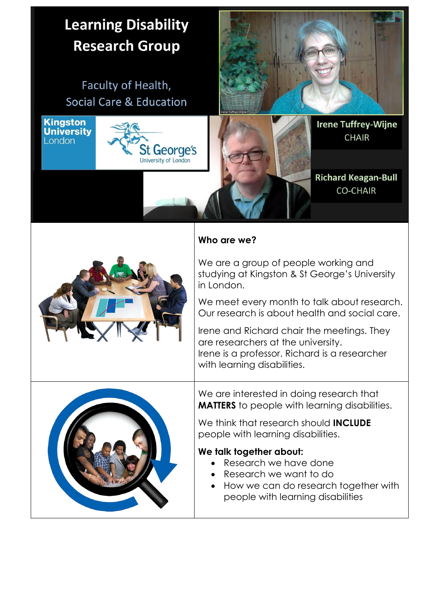